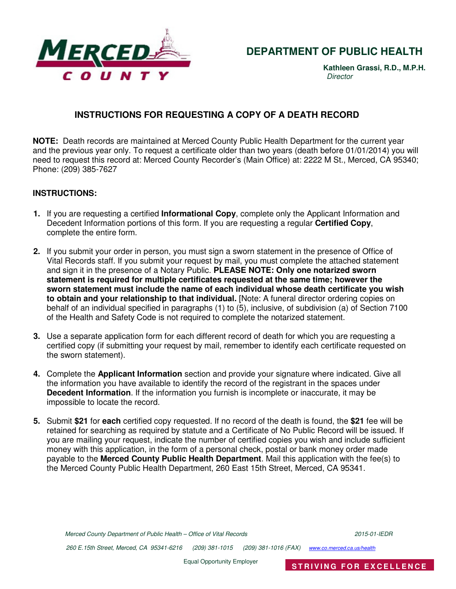

## **DEPARTMENT OF PUBLIC HEALTH**

**Kathleen Grassi, R.D., M.P.H. Director** 

### **INSTRUCTIONS FOR REQUESTING A COPY OF A DEATH RECORD**

**NOTE:** Death records are maintained at Merced County Public Health Department for the current year and the previous year only. To request a certificate older than two years (death before 01/01/2014) you will need to request this record at: Merced County Recorder's (Main Office) at: 2222 M St., Merced, CA 95340; Phone: (209) 385-7627

#### **INSTRUCTIONS:**

- **1.** If you are requesting a certified **Informational Copy**, complete only the Applicant Information and Decedent Information portions of this form. If you are requesting a regular **Certified Copy**, complete the entire form.
- **2.** If you submit your order in person, you must sign a sworn statement in the presence of Office of Vital Records staff. If you submit your request by mail, you must complete the attached statement and sign it in the presence of a Notary Public. **PLEASE NOTE: Only one notarized sworn statement is required for multiple certificates requested at the same time; however the sworn statement must include the name of each individual whose death certificate you wish to obtain and your relationship to that individual.** [Note: A funeral director ordering copies on behalf of an individual specified in paragraphs (1) to (5), inclusive, of subdivision (a) of Section 7100 of the Health and Safety Code is not required to complete the notarized statement.
- **3.** Use a separate application form for each different record of death for which you are requesting a certified copy (if submitting your request by mail, remember to identify each certificate requested on the sworn statement).
- **4.** Complete the **Applicant Information** section and provide your signature where indicated. Give all the information you have available to identify the record of the registrant in the spaces under **Decedent Information**. If the information you furnish is incomplete or inaccurate, it may be impossible to locate the record.
- **5.** Submit **\$21** for **each** certified copy requested. If no record of the death is found, the **\$21** fee will be retained for searching as required by statute and a Certificate of No Public Record will be issued. If you are mailing your request, indicate the number of certified copies you wish and include sufficient money with this application, in the form of a personal check, postal or bank money order made payable to the **Merced County Public Health Department**. Mail this application with the fee(s) to the Merced County Public Health Department, 260 East 15th Street, Merced, CA 95341.

260 E.15th Street, Merced, CA 95341-6216 (209) 381-1015 (209) 381-1016 (FAX) www.co.merced.ca.us/health

Equal Opportunity Employer **STRIVING FOR EXCELLENCE**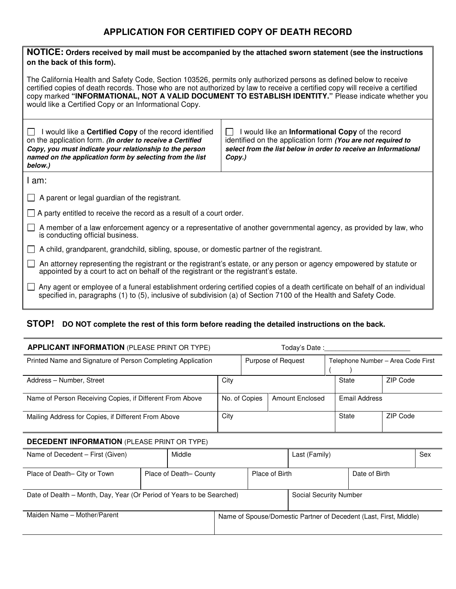## **APPLICATION FOR CERTIFIED COPY OF DEATH RECORD**

| NOTICE: Orders received by mail must be accompanied by the attached sworn statement (see the instructions<br>on the back of this form).                                                                                                                                                                                                                                                                            |                                                                                                                                                                                                              |  |  |  |  |  |
|--------------------------------------------------------------------------------------------------------------------------------------------------------------------------------------------------------------------------------------------------------------------------------------------------------------------------------------------------------------------------------------------------------------------|--------------------------------------------------------------------------------------------------------------------------------------------------------------------------------------------------------------|--|--|--|--|--|
| The California Health and Safety Code, Section 103526, permits only authorized persons as defined below to receive<br>certified copies of death records. Those who are not authorized by law to receive a certified copy will receive a certified<br>copy marked "INFORMATIONAL, NOT A VALID DOCUMENT TO ESTABLISH IDENTITY." Please indicate whether you<br>would like a Certified Copy or an Informational Copy. |                                                                                                                                                                                                              |  |  |  |  |  |
| $\Box$ I would like a <b>Certified Copy</b> of the record identified<br>on the application form. (In order to receive a Certified<br>Copy, you must indicate your relationship to the person<br>named on the application form by selecting from the list<br>below.)                                                                                                                                                | $\mathsf{L}$<br>I would like an Informational Copy of the record<br>identified on the application form (You are not required to<br>select from the list below in order to receive an Informational<br>Copy.) |  |  |  |  |  |
| I am:                                                                                                                                                                                                                                                                                                                                                                                                              |                                                                                                                                                                                                              |  |  |  |  |  |
| $\Box$ A parent or legal guardian of the registrant.                                                                                                                                                                                                                                                                                                                                                               |                                                                                                                                                                                                              |  |  |  |  |  |
| $\Box$ A party entitled to receive the record as a result of a court order.                                                                                                                                                                                                                                                                                                                                        |                                                                                                                                                                                                              |  |  |  |  |  |
| A member of a law enforcement agency or a representative of another governmental agency, as provided by law, who<br>$\perp$<br>is conducting official business.                                                                                                                                                                                                                                                    |                                                                                                                                                                                                              |  |  |  |  |  |
| A child, grandparent, grandchild, sibling, spouse, or domestic partner of the registrant.                                                                                                                                                                                                                                                                                                                          |                                                                                                                                                                                                              |  |  |  |  |  |
| An attorney representing the registrant or the registrant's estate, or any person or agency empowered by statute or<br>$\mathbf{I}$<br>appointed by a court to act on behalf of the registrant or the registrant's estate.                                                                                                                                                                                         |                                                                                                                                                                                                              |  |  |  |  |  |
| Any agent or employee of a funeral establishment ordering certified copies of a death certificate on behalf of an individual<br>$\mathbf{I}$<br>specified in, paragraphs (1) to (5), inclusive of subdivision (a) of Section 7100 of the Health and Safety Code.                                                                                                                                                   |                                                                                                                                                                                                              |  |  |  |  |  |

# **STOP! DO NOT complete the rest of this form before reading the detailed instructions on the back.**

| <b>APPLICANT INFORMATION (PLEASE PRINT OR TYPE)</b>                   |  |                                          |                                                                   | Today's Date :         |                      |               |                                    |          |          |     |  |
|-----------------------------------------------------------------------|--|------------------------------------------|-------------------------------------------------------------------|------------------------|----------------------|---------------|------------------------------------|----------|----------|-----|--|
| Printed Name and Signature of Person Completing Application           |  |                                          |                                                                   | Purpose of Request     |                      |               | Telephone Number - Area Code First |          |          |     |  |
| Address - Number, Street                                              |  |                                          | City                                                              |                        |                      | State         |                                    | ZIP Code |          |     |  |
| Name of Person Receiving Copies, if Different From Above              |  |                                          | No. of Copies<br><b>Amount Enclosed</b>                           |                        | <b>Email Address</b> |               |                                    |          |          |     |  |
| Mailing Address for Copies, if Different From Above                   |  |                                          | City                                                              |                        |                      |               | State                              |          | ZIP Code |     |  |
| <b>DECEDENT INFORMATION (PLEASE PRINT OR TYPE)</b>                    |  |                                          |                                                                   |                        |                      |               |                                    |          |          |     |  |
| Name of Decedent - First (Given)                                      |  | Middle                                   |                                                                   |                        |                      | Last (Family) |                                    |          |          | Sex |  |
| Place of Death- City or Town                                          |  | Place of Birth<br>Place of Death- County |                                                                   |                        |                      | Date of Birth |                                    |          |          |     |  |
| Date of Dealth – Month, Day, Year (Or Period of Years to be Searched) |  |                                          |                                                                   | Social Security Number |                      |               |                                    |          |          |     |  |
| Maiden Name - Mother/Parent                                           |  |                                          | Name of Spouse/Domestic Partner of Decedent (Last, First, Middle) |                        |                      |               |                                    |          |          |     |  |